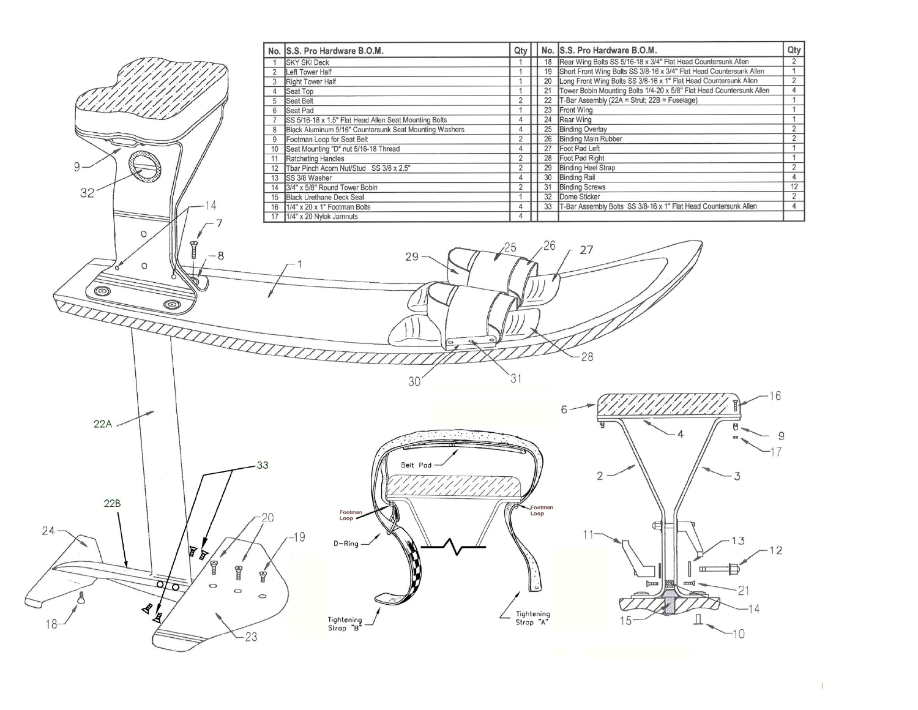|                 |                                   | No. S.S. Pro Hardware B.O.M.                                   | Qty                              |                 | No. S.S. Pro Hardware B.O.M.                                                                                               | Qt                               |
|-----------------|-----------------------------------|----------------------------------------------------------------|----------------------------------|-----------------|----------------------------------------------------------------------------------------------------------------------------|----------------------------------|
|                 | $\mathbf{1}$                      | <b>SKY SKI Deck</b>                                            | $\mathbf{1}$                     |                 | 18 Rear Wing Bolts SS 5/16-18 x 3/4" Flat Head Countersunk Allen                                                           | $\overline{2}$                   |
|                 |                                   | 2 Left Tower Half                                              | $\mathbf{1}$                     |                 | 19 Short Front Wing Bolts SS 3/8-16 x 3/4" Flat Head Countersunk Allen                                                     | $\mathbf{1}$                     |
|                 |                                   | 3 Right Tower Half                                             | $\mathbf{1}$                     |                 | 20 Long Front Wing Bolts SS 3/8-16 x 1" Flat Head Countersunk Allen                                                        | $\overline{2}$                   |
|                 |                                   | 4 Seat Top                                                     | $\mathbf{1}$<br>$\overline{2}$   |                 | 21 Tower Bobin Mounting Bolts 1/4-20 x 5/8" Flat Head Countersunk Allen<br>22 T-Bar Assembly (22A = Strut; 22B = Fuselage) | $\overline{4}$<br>$\mathbf{1}$   |
|                 | 5 <sup>5</sup><br>$6\phantom{.0}$ | Seat Belt<br>Seat Pad                                          | $\mathbf{1}$                     |                 | 23 Front Wing                                                                                                              | $\overline{1}$                   |
|                 | $\overline{7}$                    | SS 5/16-18 x 1.5" Flat Head Allen Seat Mounting Bolts          | $\overline{4}$                   |                 | 24 Rear Wing                                                                                                               | $\overline{1}$                   |
|                 | 8                                 | Black Aluminum 5/16" Countersunk Seat Mounting Washers         | $\overline{4}$                   |                 | 25 Binding Overlay                                                                                                         | $\overline{2}$                   |
|                 |                                   | 9 Footman Loop for Seat Belt                                   | $\overline{2}$                   |                 | 26 Binding Main Rubber                                                                                                     | $\overline{2}$                   |
|                 |                                   | 10 Seat Mounting "D" nut 5/16-18 Thread                        | $\overline{4}$                   |                 | 27 Foot Pad Left                                                                                                           | $\mathbf{1}$                     |
| 9               |                                   | 11 Ratcheting Handles                                          | $\overline{2}$                   |                 | 28 Foot Pad Right                                                                                                          | $\mathbf{1}$                     |
|                 |                                   | 12 Thar Pinch Acorn Nut/Stud SS 3/8 x 2.5"<br>13 SS 3/8 Washer | $\overline{2}$<br>$\overline{4}$ |                 | 29 Binding Heel Strap<br>30 Binding Rail                                                                                   | $\overline{2}$<br>$\overline{4}$ |
|                 |                                   | 14 3/4" x 5/8" Round Tower Bobin                               | $\overline{2}$                   |                 | 31 Binding Screws                                                                                                          | 12                               |
| 32 <sup>2</sup> |                                   | 15 Black Urethane Deck Seal                                    | $\mathbf{1}$                     |                 | 32 Dome Sticker                                                                                                            | $\overline{2}$                   |
|                 |                                   | 16 1/4" x 20 x 1" Footman Bolts                                | $\overline{4}$                   |                 | 33   T-Bar Assembly Bolts SS 3/8-16 x 1" Flat Head Countersunk Allen                                                       | $\overline{4}$                   |
|                 |                                   | 17 1/4" x 20 Nylok Jamnuts                                     | $\overline{4}$                   |                 |                                                                                                                            |                                  |
|                 |                                   |                                                                |                                  |                 |                                                                                                                            |                                  |
| $\circ$         |                                   |                                                                |                                  |                 |                                                                                                                            |                                  |
|                 |                                   |                                                                | 25                               | 26              | 27                                                                                                                         |                                  |
|                 | - 8                               | 29                                                             |                                  |                 |                                                                                                                            |                                  |
| $\circ$         |                                   |                                                                |                                  |                 |                                                                                                                            |                                  |
|                 |                                   |                                                                |                                  |                 |                                                                                                                            |                                  |
| $\circ$         |                                   |                                                                |                                  |                 |                                                                                                                            |                                  |
| $\circ$         |                                   |                                                                |                                  |                 |                                                                                                                            |                                  |
|                 |                                   |                                                                |                                  |                 |                                                                                                                            |                                  |
|                 | <b>INTERNATIONAL</b>              |                                                                |                                  |                 |                                                                                                                            |                                  |
|                 |                                   |                                                                |                                  |                 |                                                                                                                            |                                  |
|                 |                                   |                                                                |                                  |                 |                                                                                                                            |                                  |
|                 |                                   |                                                                |                                  |                 | 28                                                                                                                         |                                  |
|                 |                                   |                                                                |                                  |                 |                                                                                                                            |                                  |
|                 |                                   | 30                                                             |                                  |                 |                                                                                                                            |                                  |
|                 |                                   |                                                                |                                  |                 |                                                                                                                            |                                  |
|                 |                                   |                                                                |                                  |                 |                                                                                                                            |                                  |
|                 |                                   |                                                                |                                  |                 |                                                                                                                            |                                  |
| 22A             |                                   |                                                                |                                  |                 |                                                                                                                            |                                  |
|                 |                                   | $\mathcal{L}$ , and $\mathcal{L}$                              |                                  |                 |                                                                                                                            |                                  |
|                 |                                   |                                                                |                                  |                 |                                                                                                                            |                                  |
|                 |                                   |                                                                |                                  |                 |                                                                                                                            |                                  |
|                 | 33                                | Belt Pod                                                       |                                  |                 | 2                                                                                                                          |                                  |
|                 |                                   |                                                                |                                  |                 |                                                                                                                            |                                  |
|                 |                                   |                                                                |                                  |                 |                                                                                                                            |                                  |
| 22B             |                                   |                                                                |                                  |                 |                                                                                                                            |                                  |
|                 |                                   | Footman<br>Loop                                                |                                  | Footman<br>Loop |                                                                                                                            |                                  |
|                 |                                   |                                                                |                                  |                 |                                                                                                                            |                                  |
| $24 -$          |                                   | $-19$                                                          |                                  |                 | $-13$                                                                                                                      |                                  |
|                 | t                                 | $D - Ring$                                                     |                                  |                 | $-12$                                                                                                                      |                                  |
|                 | A                                 |                                                                |                                  |                 |                                                                                                                            |                                  |
|                 | <b>CON</b>                        |                                                                |                                  |                 |                                                                                                                            |                                  |
|                 | ý<br>$\circ$                      |                                                                |                                  |                 | <b>burn</b><br>$rac{1}{2}$                                                                                                 |                                  |
| ō               | $\circ$<br>$\circ$                |                                                                |                                  | یرو .           | ۷                                                                                                                          |                                  |
|                 |                                   |                                                                |                                  |                 |                                                                                                                            |                                  |
| ∢               |                                   |                                                                |                                  | Tightening      |                                                                                                                            |                                  |
|                 |                                   | Tightening<br>Strap "B"                                        | Strop "A"                        |                 |                                                                                                                            |                                  |
|                 | $-23$                             |                                                                |                                  |                 |                                                                                                                            |                                  |
|                 |                                   |                                                                |                                  |                 |                                                                                                                            |                                  |
|                 |                                   |                                                                |                                  |                 |                                                                                                                            |                                  |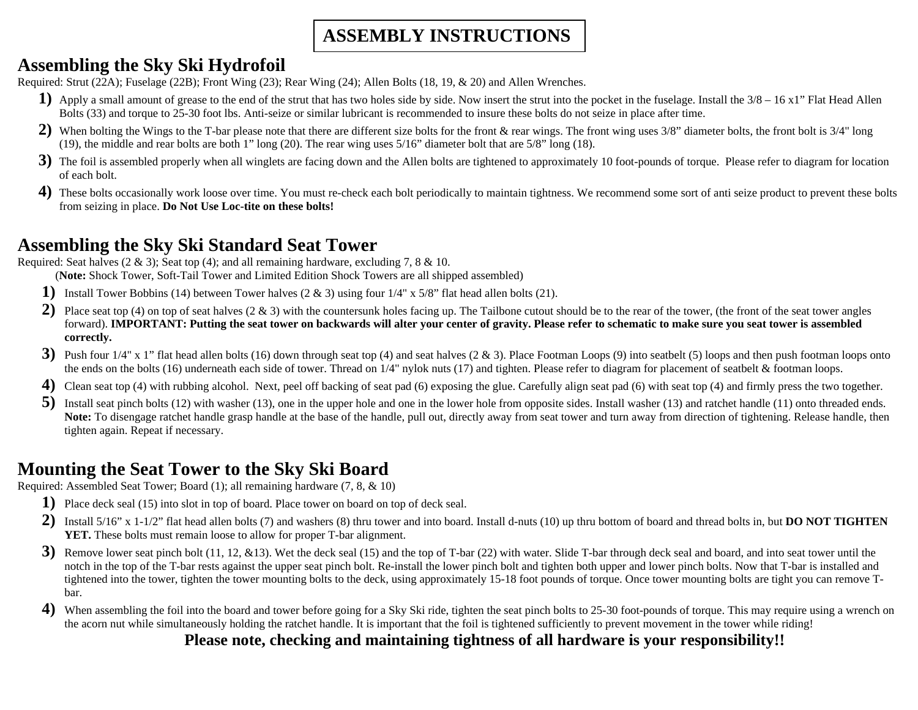# **ASSEMBLY INSTRUCTIONS**

# **Assembling the Sky Ski Hydrofoil**

Required: Strut (22A); Fuselage (22B); Front Wing (23); Rear Wing (24); Allen Bolts (18, 19, & 20) and Allen Wrenches.

- 1) Apply a small amount of grease to the end of the strut that has two holes side by side. Now insert the strut into the pocket in the fuselage. Install the 3/8 16 x1" Flat Head Allen Bolts (33) and torque to 25-30 foot lbs. Anti-seize or similar lubricant is recommended to insure these bolts do not seize in place after time.
- **2)** When bolting the Wings to the T-bar please note that there are different size bolts for the front & rear wings. The front wing uses 3/8" diameter bolts, the front bolt is 3/4" long (19), the middle and rear bolts are both 1" long (20). The rear wing uses 5/16" diameter bolt that are 5/8" long (18).
- **3)** The foil is assembled properly when all winglets are facing down and the Allen bolts are tightened to approximately 10 foot-pounds of torque. Please refer to diagram for location of each bolt. of each bolt.
- **4**) These bolts occasionally work loose over time. You must re-check each bolt periodically to maintain tightness. We recommend some sort of anti seize product to prevent these bolts from seizing in place. **Do Not Use Loc-tite on these bolts!**

## **Assembling the Sky Ski Standard Seat Tower**

Required: Seat halves  $(2 \& 3)$ ; Seat top  $(4)$ ; and all remaining hardware, excluding 7, 8  $& 10$ .

(**Note:** Shock Tower, Soft-Tail Tower and Limited Edition Shock Towers are all shipped assembled)

- **1)** Install Tower Bobbins (14) between Tower halves (2 & 3) using four 1/4" x 5/8" flat head allen bolts (21).
- **2)** Place seat top (4) on top of seat halves (2 & 3) with the countersunk holes facing up. The Tailbone cutout should be to the rear of the tower, (the front of the seat tower angles forward). **IMPORTANT: Putting the seat tower on backwards will alter your center of gravity. Please refer to schematic to make sure you seat tower is assembled correctly.**
- **3)** Push four 1/4" x 1" flat head allen bolts (16) down through seat top (4) and seat halves (2 & 3). Place Footman Loops (9) into seatbelt (5) loops and then push footman loops onto the ends on the bolts (16) underneath each side of tower. Thread on 1/4" nylok nuts (17) and tighten. Please refer to diagram for placement of seatbelt & footman loops.
- **4)** Clean seat top (4) with rubbing alcohol. Next, peel off backing of seat pad (6) exposing the glue. Carefully align seat pad (6) with seat top (4) and firmly press the two together.
- **5**) Install seat pinch bolts (12) with washer (13), one in the upper hole and one in the lower hole from opposite sides. Install washer (13) and ratchet handle (11) onto threaded ends. Note: To disengage ratchet handle grasp handle at the base of the handle, pull out, directly away from seat tower and turn away from direction of tightening. Release handle, then tighten again. Repeat if necessary.

## **Mounting the Seat Tower to the Sky Ski Board**

Required: Assembled Seat Tower; Board (1); all remaining hardware (7, 8, & 10)

- **1)** Place deck seal (15) into slot in top of board. Place tower on board on top of deck seal.
- **2)** Install 5/16" x 1-1/2" flat head allen bolts (7) and washers (8) thru tower and into board. Install d-nuts (10) up thru bottom of board and thread bolts in, but **DO NOT TIGHTEN YET.** These bolts must remain loose to allow for proper T-bar alignment.
- **3)** Remove lower seat pinch bolt (11, 12, &13). Wet the deck seal (15) and the top of T-bar (22) with water. Slide T-bar through deck seal and board, and into seat tower until the notch in the top of the T-bar rests against the upper seat pinch bolt. Re-install the lower pinch bolt and tighten both upper and lower pinch bolts. Now that T-bar is installed and tightened into the tower, tighten the tower mounting bolts to the deck, using approximately 15-18 foot pounds of torque. Once tower mounting bolts are tight you can remove T bar. The contract of the contract of the contract of the contract of the contract of the contract of the contract of the contract of the contract of the contract of the contract of the contract of the contract of the contr
- **4**) When assembling the foil into the board and tower before going for a Sky Ski ride, tighten the seat pinch bolts to 25-30 foot-pounds of torque. This may require using a wrench on the acorn nut while simultaneously holding the ratchet handle. It is important that the foil is tightened sufficiently to prevent movement in the tower while riding!

 **Please note, checking and maintaining tightness of all hardware is your responsibility!!**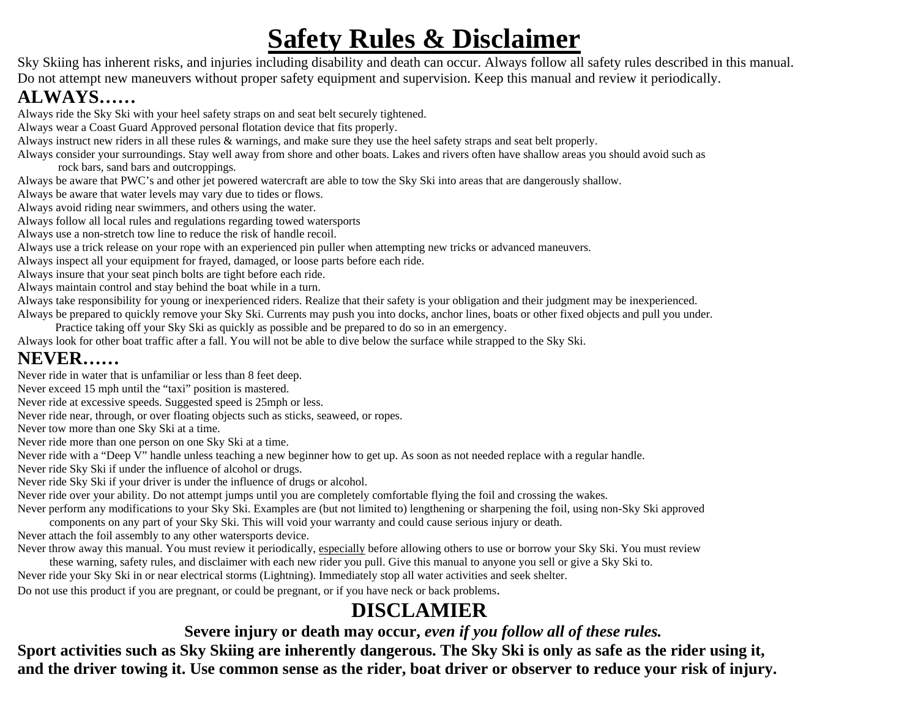# **Safety Rules & Disclaimer**

Sky Skiing has inherent risks, and injuries including disability and death can occur. Always follow all safety rules described in this manual. Do not attempt new maneuvers without proper safety equipment and supervision. Keep this manual and review it periodically.

# **ALWAYS……**

Always ride the Sky Ski with your heel safety straps on and seat belt securely tightened.

Always wear a Coast Guard Approved personal flotation device that fits properly.

Always instruct new riders in all these rules & warnings, and make sure they use the heel safety straps and seat belt properly.

Always consider your surroundings. Stay well away from shore and other boats. Lakes and rivers often have shallow areas you should avoid such as

rock bars, sand bars and outcroppings.

Always be aware that PWC's and other jet powered watercraft are able to tow the Sky Ski into areas that are dangerously shallow.

Always be aware that water levels may vary due to tides or flows.

Always avoid riding near swimmers, and others using the water.

Always follow all local rules and regulations regarding towed watersports

Always use a non-stretch tow line to reduce the risk of handle recoil.

Always use a trick release on your rope with an experienced pin puller when attempting new tricks or advanced maneuvers.

Always inspect all your equipment for frayed, damaged, or loose parts before each ride.

Always insure that your seat pinch bolts are tight before each ride.

Always maintain control and stay behind the boat while in a turn.

Always take responsibility for young or inexperienced riders. Realize that their safety is your obligation and their judgment may be inexperienced.

Always be prepared to quickly remove your Sky Ski. Currents may push you into docks, anchor lines, boats or other fixed objects and pull you under.

Practice taking off your Sky Ski as quickly as possible and be prepared to do so in an emergency.

Always look for other boat traffic after a fall. You will not be able to dive below the surface while strapped to the Sky Ski.

# **NEVER……**

Never ride in water that is unfamiliar or less than 8 feet deep.

Never exceed 15 mph until the "taxi" position is mastered.

Never ride at excessive speeds. Suggested speed is 25mph or less.

Never ride near, through, or over floating objects such as sticks, seaweed, or ropes.

Never tow more than one Sky Ski at a time.

Never ride more than one person on one Sky Ski at a time.

Never ride with a "Deep V" handle unless teaching a new beginner how to get up. As soon as not needed replace with a regular handle.

Never ride Sky Ski if under the influence of alcohol or drugs.

Never ride Sky Ski if your driver is under the influence of drugs or alcohol.

Never ride over your ability. Do not attempt jumps until you are completely comfortable flying the foil and crossing the wakes.

Never perform any modifications to your Sky Ski. Examples are (but not limited to) lengthening or sharpening the foil, using non-Sky Ski approved components on any part of your Sky Ski. This will void your warranty and could cause serious injury or death.

Never attach the foil assembly to any other watersports device.

Never throw away this manual. You must review it periodically, especially before allowing others to use or borrow your Sky Ski. You must review

these warning, safety rules, and disclaimer with each new rider you pull. Give this manual to anyone you sell or give a Sky Ski to.

Never ride your Sky Ski in or near electrical storms (Lightning). Immediately stop all water activities and seek shelter.

Do not use this product if you are pregnant, or could be pregnant, or if you have neck or back problems.

# **DISCLAMIER**

**Severe injury or death may occur,** *even if you follow all of these rules.*

**Sport activities such as Sky Skiing are inherently dangerous. The Sky Ski is only as safe as the rider using it, and the driver towing it. Use common sense as the rider, boat driver or observer to reduce your risk of injury.**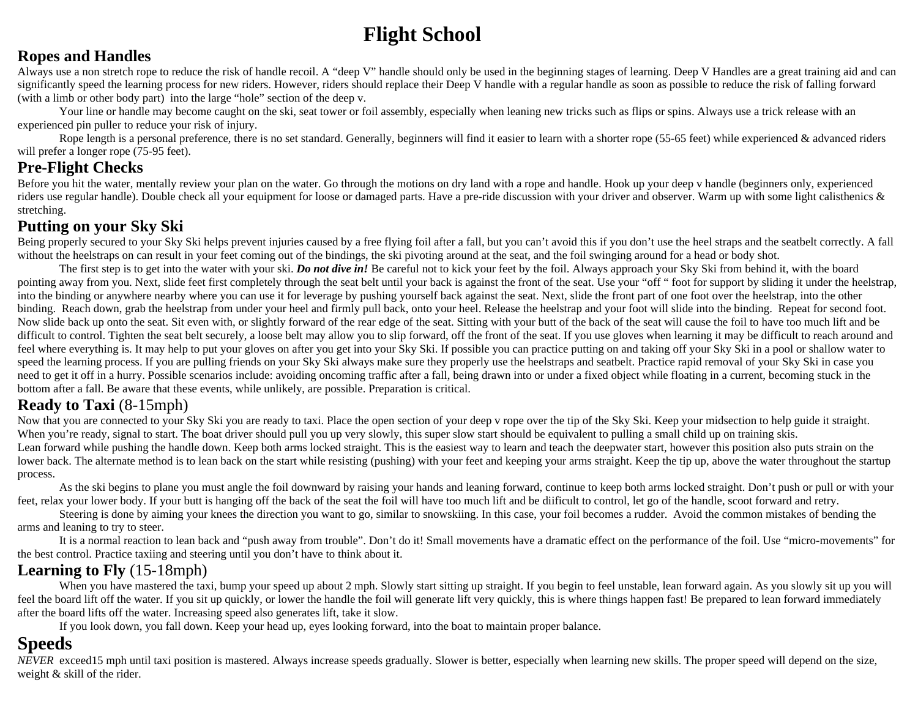# **Flight School**

#### **Ropes and Handles**

Always use a non stretch rope to reduce the risk of handle recoil. A "deep V" handle should only be used in the beginning stages of learning. Deep V Handles are a great training aid and can significantly speed the learning process for new riders. However, riders should replace their Deep V handle with a regular handle as soon as possible to reduce the risk of falling forward (with a limb or other body part) into the large "hole" section of the deep v.

Your line or handle may become caught on the ski, seat tower or foil assembly, especially when leaning new tricks such as flips or spins. Always use a trick release with an experienced pin puller to reduce your risk of injury.

Rope length is a personal preference, there is no set standard. Generally, beginners will find it easier to learn with a shorter rope (55-65 feet) while experienced & advanced riders will prefer a longer rope (75-95 feet).

## **Pre-Flight Checks**

Before you hit the water, mentally review your plan on the water. Go through the motions on dry land with a rope and handle. Hook up your deep y handle (beginners only, experienced riders use regular handle). Double check all your equipment for loose or damaged parts. Have a pre-ride discussion with your driver and observer. Warm up with some light calisthenics & stretching. The contract of the contract of the contract of the contract of the contract of the contract of the contract of the contract of the contract of the contract of the contract of the contract of the contract of th

#### **Putting on your Sky Ski**

Being properly secured to your Sky Ski helps prevent injuries caused by a free flying foil after a fall, but you can't avoid this if you don't use the heel straps and the seatbelt correctly. A fall without the heelstraps on can result in your feet coming out of the bindings, the ski pivoting around at the seat, and the foil swinging around for a head or body shot.

The first step is to get into the water with your ski. *Do not dive in!* Be careful not to kick your feet by the foil. Always approach your Sky Ski from behind it, with the board pointing away from you. Next, slide feet first completely through the seat belt until your back is against the front of the seat. Use your "off" foot for support by sliding it under the heelstrap, into the binding or anywhere nearby where you can use it for leverage by pushing yourself back against the seat. Next, slide the front part of one foot over the heelstrap, into the other binding. Reach down, grab the heelstrap from under your heel and firmly pull back, onto your heel. Release the heelstrap and your foot will slide into the binding. Repeat for second foot. Now slide back up onto the seat. Sit even with, or slightly forward of the rear edge of the seat. Sitting with your butt of the back of the seat will cause the foil to have too much lift and be difficult to control. Tighten the seat belt securely, a loose belt may allow you to slip forward, off the front of the seat. If you use gloves when learning it may be difficult to reach around and feel where everything is. It may help to put your gloves on after you get into your Sky Ski. If possible you can practice putting on and taking off your Sky Ski in a pool or shallow water to speed the learning process. If you are pulling friends on your Sky Ski always make sure they properly use the heelstraps and seatbelt. Practice rapid removal of your Sky Ski in case you need to get it off in a hurry. Possible scenarios include: avoiding oncoming traffic after a fall, being drawn into or under a fixed object while floating in a current, becoming stuck in the bottom after a fall. Be aware that these events, while unlikely, are possible. Preparation is critical.

## **Ready to Taxi** (8-15mph)

Now that you are connected to your Sky Ski you are ready to taxi. Place the open section of your deep v rope over the tip of the Sky Ski. Keep your midsection to help guide it straight. When you're ready, signal to start. The boat driver should pull you up very slowly, this super slow start should be equivalent to pulling a small child up on training skis. Lean forward while pushing the handle down. Keep both arms locked straight. This is the easiest way to learn and teach the deepwater start, however this position also puts strain on the lower back. The alternate method is to lean back on the start while resisting (pushing) with your feet and keeping your arms straight. Keep the tip up, above the water throughout the startup process.

As the ski begins to plane you must angle the foil downward by raising your hands and leaning forward, continue to keep both arms locked straight. Don't push or pull or with your feet, relax your lower body. If your butt is hanging off the back of the seat the foil will have too much lift and be diificult to control, let go of the handle, scoot forward and retry.

Steering is done by aiming your knees the direction you want to go, similar to snowskiing. In this case, your foil becomes a rudder. Avoid the common mistakes of bending the arms and leaning to try to steer.

It is a normal reaction to lean back and "push away from trouble". Don't do it! Small movements have a dramatic effect on the performance of the foil. Use "micro-movements" for the best control. Practice taxiing and steering until you don't have to think about it.

## **Learning to Fly** (15-18mph)

When you have mastered the taxi, bump your speed up about 2 mph. Slowly start sitting up straight. If you begin to feel unstable, lean forward again. As you slowly sit up you will feel the board lift off the water. If you sit up quickly, or lower the handle the foil will generate lift very quickly, this is where things happen fast! Be prepared to lean forward immediately after the board lifts off the water. Increasing speed also generates lift, take it slow.

If you look down, you fall down. Keep your head up, eyes looking forward, into the boat to maintain proper balance.

**Speeds** *NEVER* exceed15 mph until taxi position is mastered. Always increase speeds gradually. Slower is better, especially when learning new skills. The proper speed will depend on the size, weight & skill of the rider.